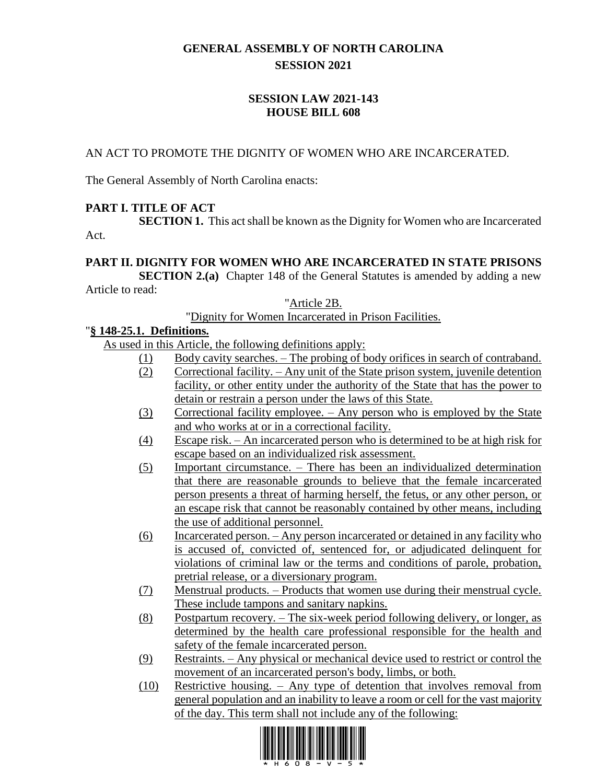# **GENERAL ASSEMBLY OF NORTH CAROLINA SESSION 2021**

# **SESSION LAW 2021-143 HOUSE BILL 608**

### AN ACT TO PROMOTE THE DIGNITY OF WOMEN WHO ARE INCARCERATED.

The General Assembly of North Carolina enacts:

# **PART I. TITLE OF ACT**

**SECTION 1.** This act shall be known as the Dignity for Women who are Incarcerated Act.

#### **PART II. DIGNITY FOR WOMEN WHO ARE INCARCERATED IN STATE PRISONS**

**SECTION 2.(a)** Chapter 148 of the General Statutes is amended by adding a new Article to read:

"Article 2B.

"Dignity for Women Incarcerated in Prison Facilities.

#### "**§ 148-25.1. Definitions.**

As used in this Article, the following definitions apply:

- (1) Body cavity searches. The probing of body orifices in search of contraband.
- (2) Correctional facility. Any unit of the State prison system, juvenile detention facility, or other entity under the authority of the State that has the power to detain or restrain a person under the laws of this State.
- (3) Correctional facility employee. Any person who is employed by the State and who works at or in a correctional facility.
- (4) Escape risk. An incarcerated person who is determined to be at high risk for escape based on an individualized risk assessment.
- (5) Important circumstance. There has been an individualized determination that there are reasonable grounds to believe that the female incarcerated person presents a threat of harming herself, the fetus, or any other person, or an escape risk that cannot be reasonably contained by other means, including the use of additional personnel.
- (6) Incarcerated person. Any person incarcerated or detained in any facility who is accused of, convicted of, sentenced for, or adjudicated delinquent for violations of criminal law or the terms and conditions of parole, probation, pretrial release, or a diversionary program.
- (7) Menstrual products. Products that women use during their menstrual cycle. These include tampons and sanitary napkins.
- (8) Postpartum recovery. The six-week period following delivery, or longer, as determined by the health care professional responsible for the health and safety of the female incarcerated person.
- (9) Restraints. Any physical or mechanical device used to restrict or control the movement of an incarcerated person's body, limbs, or both.
- (10) Restrictive housing. Any type of detention that involves removal from general population and an inability to leave a room or cell for the vast majority of the day. This term shall not include any of the following:

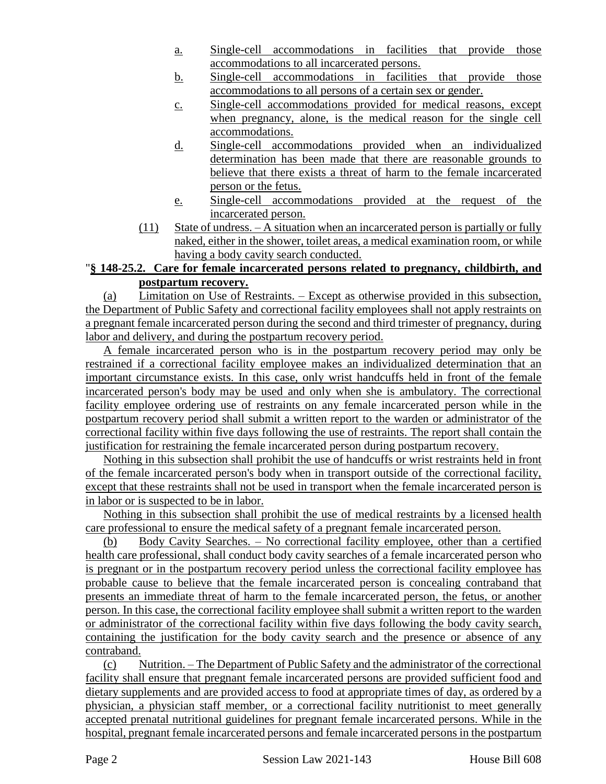- a. Single-cell accommodations in facilities that provide those accommodations to all incarcerated persons.
- b. Single-cell accommodations in facilities that provide those accommodations to all persons of a certain sex or gender.
- c. Single-cell accommodations provided for medical reasons, except when pregnancy, alone, is the medical reason for the single cell accommodations.
- d. Single-cell accommodations provided when an individualized determination has been made that there are reasonable grounds to believe that there exists a threat of harm to the female incarcerated person or the fetus.
- e. Single-cell accommodations provided at the request of the incarcerated person.
- (11) State of undress. A situation when an incarcerated person is partially or fully naked, either in the shower, toilet areas, a medical examination room, or while having a body cavity search conducted.

## "**§ 148-25.2. Care for female incarcerated persons related to pregnancy, childbirth, and postpartum recovery.**

(a) Limitation on Use of Restraints. – Except as otherwise provided in this subsection, the Department of Public Safety and correctional facility employees shall not apply restraints on a pregnant female incarcerated person during the second and third trimester of pregnancy, during labor and delivery, and during the postpartum recovery period.

A female incarcerated person who is in the postpartum recovery period may only be restrained if a correctional facility employee makes an individualized determination that an important circumstance exists. In this case, only wrist handcuffs held in front of the female incarcerated person's body may be used and only when she is ambulatory. The correctional facility employee ordering use of restraints on any female incarcerated person while in the postpartum recovery period shall submit a written report to the warden or administrator of the correctional facility within five days following the use of restraints. The report shall contain the justification for restraining the female incarcerated person during postpartum recovery.

Nothing in this subsection shall prohibit the use of handcuffs or wrist restraints held in front of the female incarcerated person's body when in transport outside of the correctional facility, except that these restraints shall not be used in transport when the female incarcerated person is in labor or is suspected to be in labor.

Nothing in this subsection shall prohibit the use of medical restraints by a licensed health care professional to ensure the medical safety of a pregnant female incarcerated person.

(b) Body Cavity Searches. – No correctional facility employee, other than a certified health care professional, shall conduct body cavity searches of a female incarcerated person who is pregnant or in the postpartum recovery period unless the correctional facility employee has probable cause to believe that the female incarcerated person is concealing contraband that presents an immediate threat of harm to the female incarcerated person, the fetus, or another person. In this case, the correctional facility employee shall submit a written report to the warden or administrator of the correctional facility within five days following the body cavity search, containing the justification for the body cavity search and the presence or absence of any contraband.

(c) Nutrition. – The Department of Public Safety and the administrator of the correctional facility shall ensure that pregnant female incarcerated persons are provided sufficient food and dietary supplements and are provided access to food at appropriate times of day, as ordered by a physician, a physician staff member, or a correctional facility nutritionist to meet generally accepted prenatal nutritional guidelines for pregnant female incarcerated persons. While in the hospital, pregnant female incarcerated persons and female incarcerated persons in the postpartum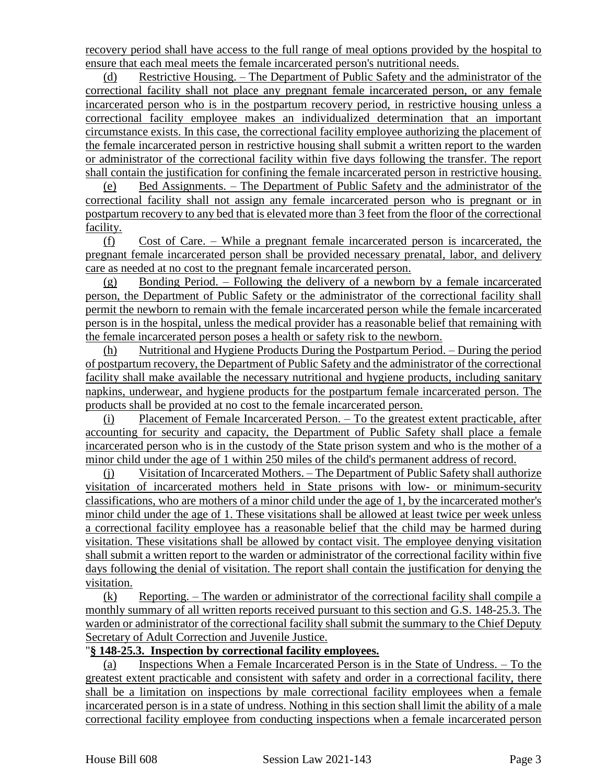recovery period shall have access to the full range of meal options provided by the hospital to ensure that each meal meets the female incarcerated person's nutritional needs.

(d) Restrictive Housing. – The Department of Public Safety and the administrator of the correctional facility shall not place any pregnant female incarcerated person, or any female incarcerated person who is in the postpartum recovery period, in restrictive housing unless a correctional facility employee makes an individualized determination that an important circumstance exists. In this case, the correctional facility employee authorizing the placement of the female incarcerated person in restrictive housing shall submit a written report to the warden or administrator of the correctional facility within five days following the transfer. The report shall contain the justification for confining the female incarcerated person in restrictive housing.

(e) Bed Assignments. – The Department of Public Safety and the administrator of the correctional facility shall not assign any female incarcerated person who is pregnant or in postpartum recovery to any bed that is elevated more than 3 feet from the floor of the correctional facility.

(f) Cost of Care. – While a pregnant female incarcerated person is incarcerated, the pregnant female incarcerated person shall be provided necessary prenatal, labor, and delivery care as needed at no cost to the pregnant female incarcerated person.

(g) Bonding Period. – Following the delivery of a newborn by a female incarcerated person, the Department of Public Safety or the administrator of the correctional facility shall permit the newborn to remain with the female incarcerated person while the female incarcerated person is in the hospital, unless the medical provider has a reasonable belief that remaining with the female incarcerated person poses a health or safety risk to the newborn.

(h) Nutritional and Hygiene Products During the Postpartum Period. – During the period of postpartum recovery, the Department of Public Safety and the administrator of the correctional facility shall make available the necessary nutritional and hygiene products, including sanitary napkins, underwear, and hygiene products for the postpartum female incarcerated person. The products shall be provided at no cost to the female incarcerated person.

(i) Placement of Female Incarcerated Person. – To the greatest extent practicable, after accounting for security and capacity, the Department of Public Safety shall place a female incarcerated person who is in the custody of the State prison system and who is the mother of a minor child under the age of 1 within 250 miles of the child's permanent address of record.

(j) Visitation of Incarcerated Mothers. – The Department of Public Safety shall authorize visitation of incarcerated mothers held in State prisons with low- or minimum-security classifications, who are mothers of a minor child under the age of 1, by the incarcerated mother's minor child under the age of 1. These visitations shall be allowed at least twice per week unless a correctional facility employee has a reasonable belief that the child may be harmed during visitation. These visitations shall be allowed by contact visit. The employee denying visitation shall submit a written report to the warden or administrator of the correctional facility within five days following the denial of visitation. The report shall contain the justification for denying the visitation.

(k) Reporting. – The warden or administrator of the correctional facility shall compile a monthly summary of all written reports received pursuant to this section and G.S. 148-25.3. The warden or administrator of the correctional facility shall submit the summary to the Chief Deputy Secretary of Adult Correction and Juvenile Justice.

#### "**§ 148-25.3. Inspection by correctional facility employees.**

(a) Inspections When a Female Incarcerated Person is in the State of Undress. – To the greatest extent practicable and consistent with safety and order in a correctional facility, there shall be a limitation on inspections by male correctional facility employees when a female incarcerated person is in a state of undress. Nothing in this section shall limit the ability of a male correctional facility employee from conducting inspections when a female incarcerated person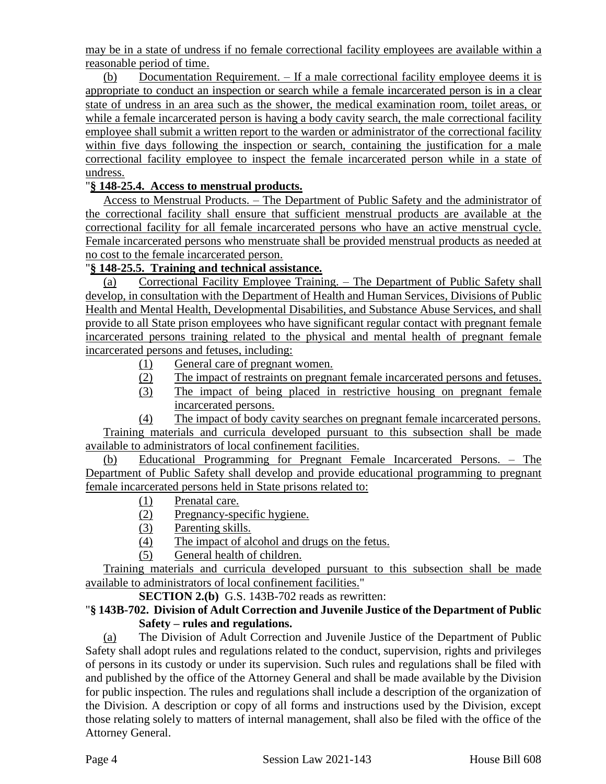may be in a state of undress if no female correctional facility employees are available within a reasonable period of time.

(b) Documentation Requirement. – If a male correctional facility employee deems it is appropriate to conduct an inspection or search while a female incarcerated person is in a clear state of undress in an area such as the shower, the medical examination room, toilet areas, or while a female incarcerated person is having a body cavity search, the male correctional facility employee shall submit a written report to the warden or administrator of the correctional facility within five days following the inspection or search, containing the justification for a male correctional facility employee to inspect the female incarcerated person while in a state of undress.

## "**§ 148-25.4. Access to menstrual products.**

Access to Menstrual Products. – The Department of Public Safety and the administrator of the correctional facility shall ensure that sufficient menstrual products are available at the correctional facility for all female incarcerated persons who have an active menstrual cycle. Female incarcerated persons who menstruate shall be provided menstrual products as needed at no cost to the female incarcerated person.

## "**§ 148-25.5. Training and technical assistance.**

(a) Correctional Facility Employee Training. – The Department of Public Safety shall develop, in consultation with the Department of Health and Human Services, Divisions of Public Health and Mental Health, Developmental Disabilities, and Substance Abuse Services, and shall provide to all State prison employees who have significant regular contact with pregnant female incarcerated persons training related to the physical and mental health of pregnant female incarcerated persons and fetuses, including:

- (1) General care of pregnant women.
- (2) The impact of restraints on pregnant female incarcerated persons and fetuses.
- (3) The impact of being placed in restrictive housing on pregnant female incarcerated persons.

(4) The impact of body cavity searches on pregnant female incarcerated persons. Training materials and curricula developed pursuant to this subsection shall be made available to administrators of local confinement facilities.

(b) Educational Programming for Pregnant Female Incarcerated Persons. – The Department of Public Safety shall develop and provide educational programming to pregnant female incarcerated persons held in State prisons related to:

- (1) Prenatal care.
- (2) Pregnancy-specific hygiene.
- (3) Parenting skills.
- (4) The impact of alcohol and drugs on the fetus.
- (5) General health of children.

Training materials and curricula developed pursuant to this subsection shall be made available to administrators of local confinement facilities."

**SECTION 2.(b)** G.S. 143B-702 reads as rewritten:

## "**§ 143B-702. Division of Adult Correction and Juvenile Justice of the Department of Public Safety – rules and regulations.**

(a) The Division of Adult Correction and Juvenile Justice of the Department of Public Safety shall adopt rules and regulations related to the conduct, supervision, rights and privileges of persons in its custody or under its supervision. Such rules and regulations shall be filed with and published by the office of the Attorney General and shall be made available by the Division for public inspection. The rules and regulations shall include a description of the organization of the Division. A description or copy of all forms and instructions used by the Division, except those relating solely to matters of internal management, shall also be filed with the office of the Attorney General.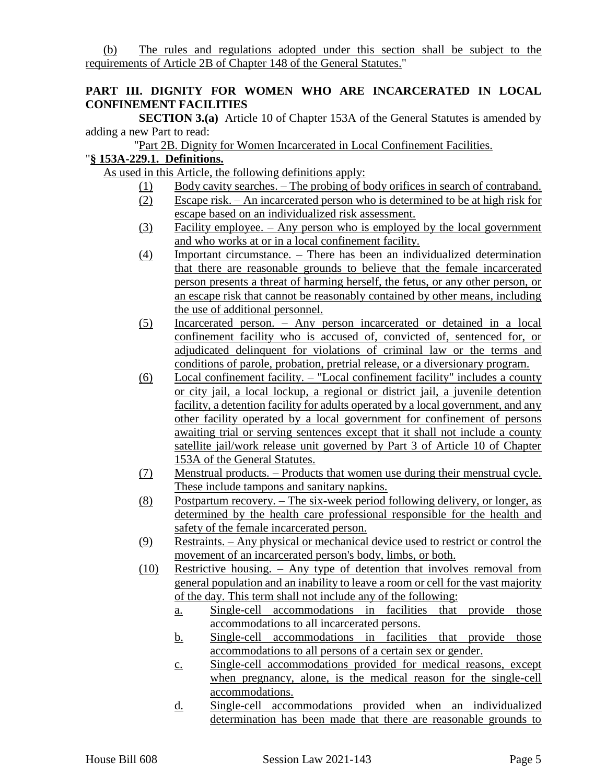(b) The rules and regulations adopted under this section shall be subject to the requirements of Article 2B of Chapter 148 of the General Statutes."

### **PART III. DIGNITY FOR WOMEN WHO ARE INCARCERATED IN LOCAL CONFINEMENT FACILITIES**

**SECTION 3.(a)** Article 10 of Chapter 153A of the General Statutes is amended by adding a new Part to read:

"Part 2B. Dignity for Women Incarcerated in Local Confinement Facilities.

# "**§ 153A-229.1. Definitions.**

As used in this Article, the following definitions apply:

- (1) Body cavity searches. The probing of body orifices in search of contraband.
- (2) Escape risk. An incarcerated person who is determined to be at high risk for escape based on an individualized risk assessment.
- (3) Facility employee. Any person who is employed by the local government and who works at or in a local confinement facility.
- (4) Important circumstance. There has been an individualized determination that there are reasonable grounds to believe that the female incarcerated person presents a threat of harming herself, the fetus, or any other person, or an escape risk that cannot be reasonably contained by other means, including the use of additional personnel.
- (5) Incarcerated person. Any person incarcerated or detained in a local confinement facility who is accused of, convicted of, sentenced for, or adjudicated delinquent for violations of criminal law or the terms and conditions of parole, probation, pretrial release, or a diversionary program.
- (6) Local confinement facility. "Local confinement facility" includes a county or city jail, a local lockup, a regional or district jail, a juvenile detention facility, a detention facility for adults operated by a local government, and any other facility operated by a local government for confinement of persons awaiting trial or serving sentences except that it shall not include a county satellite jail/work release unit governed by Part 3 of Article 10 of Chapter 153A of the General Statutes.
- (7) Menstrual products. Products that women use during their menstrual cycle. These include tampons and sanitary napkins.
- (8) Postpartum recovery. The six-week period following delivery, or longer, as determined by the health care professional responsible for the health and safety of the female incarcerated person.
- (9) Restraints. Any physical or mechanical device used to restrict or control the movement of an incarcerated person's body, limbs, or both.
- (10) Restrictive housing. Any type of detention that involves removal from general population and an inability to leave a room or cell for the vast majority of the day. This term shall not include any of the following:
	- a. Single-cell accommodations in facilities that provide those accommodations to all incarcerated persons.
	- b. Single-cell accommodations in facilities that provide those accommodations to all persons of a certain sex or gender.
	- c. Single-cell accommodations provided for medical reasons, except when pregnancy, alone, is the medical reason for the single-cell accommodations.
	- d. Single-cell accommodations provided when an individualized determination has been made that there are reasonable grounds to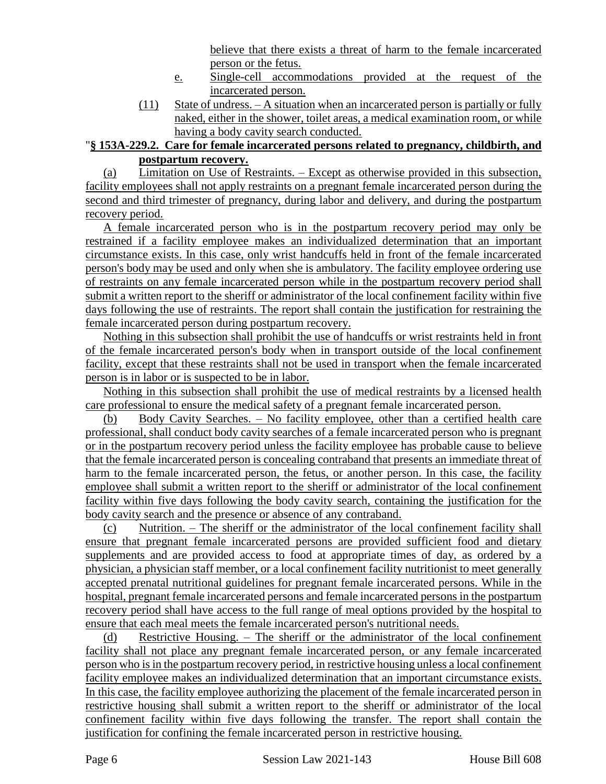believe that there exists a threat of harm to the female incarcerated person or the fetus.

- e. Single-cell accommodations provided at the request of the incarcerated person.
- (11) State of undress. A situation when an incarcerated person is partially or fully naked, either in the shower, toilet areas, a medical examination room, or while having a body cavity search conducted.

# "**§ 153A-229.2. Care for female incarcerated persons related to pregnancy, childbirth, and postpartum recovery.**

(a) Limitation on Use of Restraints. – Except as otherwise provided in this subsection, facility employees shall not apply restraints on a pregnant female incarcerated person during the second and third trimester of pregnancy, during labor and delivery, and during the postpartum recovery period.

A female incarcerated person who is in the postpartum recovery period may only be restrained if a facility employee makes an individualized determination that an important circumstance exists. In this case, only wrist handcuffs held in front of the female incarcerated person's body may be used and only when she is ambulatory. The facility employee ordering use of restraints on any female incarcerated person while in the postpartum recovery period shall submit a written report to the sheriff or administrator of the local confinement facility within five days following the use of restraints. The report shall contain the justification for restraining the female incarcerated person during postpartum recovery.

Nothing in this subsection shall prohibit the use of handcuffs or wrist restraints held in front of the female incarcerated person's body when in transport outside of the local confinement facility, except that these restraints shall not be used in transport when the female incarcerated person is in labor or is suspected to be in labor.

Nothing in this subsection shall prohibit the use of medical restraints by a licensed health care professional to ensure the medical safety of a pregnant female incarcerated person.

(b) Body Cavity Searches. – No facility employee, other than a certified health care professional, shall conduct body cavity searches of a female incarcerated person who is pregnant or in the postpartum recovery period unless the facility employee has probable cause to believe that the female incarcerated person is concealing contraband that presents an immediate threat of harm to the female incarcerated person, the fetus, or another person. In this case, the facility employee shall submit a written report to the sheriff or administrator of the local confinement facility within five days following the body cavity search, containing the justification for the body cavity search and the presence or absence of any contraband.

(c) Nutrition. – The sheriff or the administrator of the local confinement facility shall ensure that pregnant female incarcerated persons are provided sufficient food and dietary supplements and are provided access to food at appropriate times of day, as ordered by a physician, a physician staff member, or a local confinement facility nutritionist to meet generally accepted prenatal nutritional guidelines for pregnant female incarcerated persons. While in the hospital, pregnant female incarcerated persons and female incarcerated persons in the postpartum recovery period shall have access to the full range of meal options provided by the hospital to ensure that each meal meets the female incarcerated person's nutritional needs.

(d) Restrictive Housing. – The sheriff or the administrator of the local confinement facility shall not place any pregnant female incarcerated person, or any female incarcerated person who is in the postpartum recovery period, in restrictive housing unless a local confinement facility employee makes an individualized determination that an important circumstance exists. In this case, the facility employee authorizing the placement of the female incarcerated person in restrictive housing shall submit a written report to the sheriff or administrator of the local confinement facility within five days following the transfer. The report shall contain the justification for confining the female incarcerated person in restrictive housing.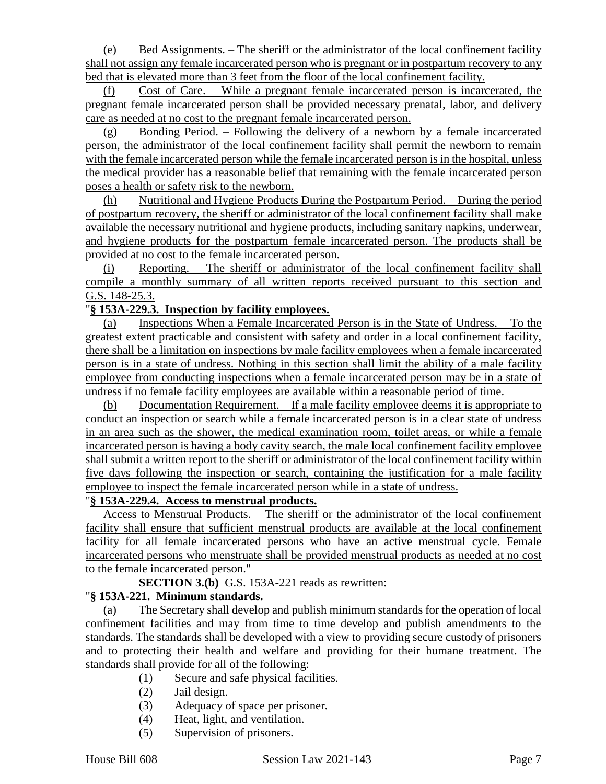(e) Bed Assignments. – The sheriff or the administrator of the local confinement facility shall not assign any female incarcerated person who is pregnant or in postpartum recovery to any bed that is elevated more than 3 feet from the floor of the local confinement facility.

(f) Cost of Care. – While a pregnant female incarcerated person is incarcerated, the pregnant female incarcerated person shall be provided necessary prenatal, labor, and delivery care as needed at no cost to the pregnant female incarcerated person.

(g) Bonding Period. – Following the delivery of a newborn by a female incarcerated person, the administrator of the local confinement facility shall permit the newborn to remain with the female incarcerated person while the female incarcerated person is in the hospital, unless the medical provider has a reasonable belief that remaining with the female incarcerated person poses a health or safety risk to the newborn.

(h) Nutritional and Hygiene Products During the Postpartum Period. – During the period of postpartum recovery, the sheriff or administrator of the local confinement facility shall make available the necessary nutritional and hygiene products, including sanitary napkins, underwear, and hygiene products for the postpartum female incarcerated person. The products shall be provided at no cost to the female incarcerated person.

(i) Reporting. – The sheriff or administrator of the local confinement facility shall compile a monthly summary of all written reports received pursuant to this section and G.S. 148-25.3.

## "**§ 153A-229.3. Inspection by facility employees.**

(a) Inspections When a Female Incarcerated Person is in the State of Undress. – To the greatest extent practicable and consistent with safety and order in a local confinement facility, there shall be a limitation on inspections by male facility employees when a female incarcerated person is in a state of undress. Nothing in this section shall limit the ability of a male facility employee from conducting inspections when a female incarcerated person may be in a state of undress if no female facility employees are available within a reasonable period of time.

(b) Documentation Requirement. – If a male facility employee deems it is appropriate to conduct an inspection or search while a female incarcerated person is in a clear state of undress in an area such as the shower, the medical examination room, toilet areas, or while a female incarcerated person is having a body cavity search, the male local confinement facility employee shall submit a written report to the sheriff or administrator of the local confinement facility within five days following the inspection or search, containing the justification for a male facility employee to inspect the female incarcerated person while in a state of undress.

#### "**§ 153A-229.4. Access to menstrual products.**

Access to Menstrual Products. – The sheriff or the administrator of the local confinement facility shall ensure that sufficient menstrual products are available at the local confinement facility for all female incarcerated persons who have an active menstrual cycle. Female incarcerated persons who menstruate shall be provided menstrual products as needed at no cost to the female incarcerated person."

**SECTION 3.(b)** G.S. 153A-221 reads as rewritten:

#### "**§ 153A-221. Minimum standards.**

(a) The Secretary shall develop and publish minimum standards for the operation of local confinement facilities and may from time to time develop and publish amendments to the standards. The standards shall be developed with a view to providing secure custody of prisoners and to protecting their health and welfare and providing for their humane treatment. The standards shall provide for all of the following:

- (1) Secure and safe physical facilities.
- (2) Jail design.
- (3) Adequacy of space per prisoner.
- (4) Heat, light, and ventilation.
- (5) Supervision of prisoners.